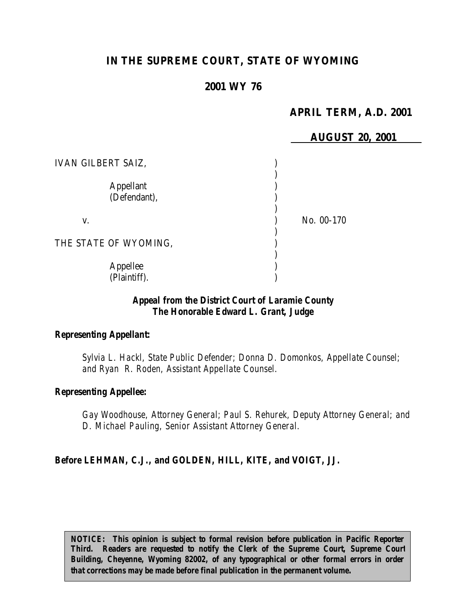# **IN THE SUPREME COURT, STATE OF WYOMING**

## **2001 WY 76**

## **APRIL TERM, A.D. 2001**

|                                  | <b>AUGUST 20, 2001</b> |
|----------------------------------|------------------------|
| <b>IVAN GILBERT SAIZ,</b>        |                        |
| <b>Appellant</b><br>(Defendant), |                        |
| V.                               | No. 00-170             |
| THE STATE OF WYOMING,            |                        |
| Appellee<br>(Plaintiff).         |                        |

### *Appeal from the District Court of Laramie County The Honorable Edward L. Grant, Judge*

#### *Representing Appellant:*

*Sylvia L. Hackl, State Public Defender; Donna D. Domonkos, Appellate Counsel; and Ryan R. Roden, Assistant Appellate Counsel.*

#### *Representing Appellee:*

*Gay Woodhouse, Attorney General; Paul S. Rehurek, Deputy Attorney General; and D. Michael Pauling, Senior Assistant Attorney General.*

#### *Before LEHMAN, C.J., and GOLDEN, HILL, KITE, and VOIGT, JJ.*

*NOTICE:* This opinion is subject to formal revision before publication in Pacific Reporter *Third. Readers are requested to notify the Clerk of the Supreme Court, Supreme Court Building, Cheyenne, Wyoming 82002, of any typographical or other formal errors in order that corrections may be made before final publication in the permanent volume.*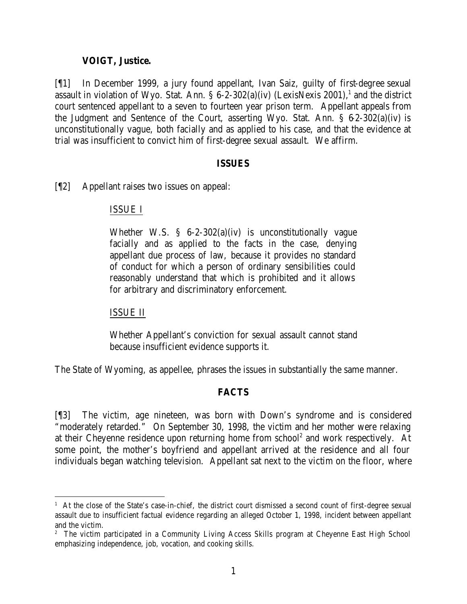### **VOIGT, Justice.**

[¶1] In December 1999, a jury found appellant, Ivan Saiz, guilty of first-degree sexual assault in violation of Wyo. Stat. Ann.  $\S 6$ -2-302(a)(iv) (LexisNexis 2001),<sup>1</sup> and the district court sentenced appellant to a seven to fourteen year prison term. Appellant appeals from the Judgment and Sentence of the Court, asserting Wyo. Stat. Ann. § 6-2-302(a)(iv) is unconstitutionally vague, both facially and as applied to his case, and that the evidence at trial was insufficient to convict him of first-degree sexual assault. We affirm.

#### **ISSUES**

[¶2] Appellant raises two issues on appeal:

#### ISSUE I

Whether W.S. § 6-2-302(a)(iv) is unconstitutionally vague facially and as applied to the facts in the case, denying appellant due process of law, because it provides no standard of conduct for which a person of ordinary sensibilities could reasonably understand that which is prohibited and it allows for arbitrary and discriminatory enforcement.

#### ISSUE II

Whether Appellant's conviction for sexual assault cannot stand because insufficient evidence supports it.

The State of Wyoming, as appellee, phrases the issues in substantially the same manner.

## **FACTS**

[¶3] The victim, age nineteen, was born with Down's syndrome and is considered "moderately retarded." On September 30, 1998, the victim and her mother were relaxing at their Cheyenne residence upon returning home from school<sup>2</sup> and work respectively. At some point, the mother's boyfriend and appellant arrived at the residence and all four individuals began watching television. Appellant sat next to the victim on the floor, where

<sup>&</sup>lt;sup>1</sup> At the close of the State's case-in-chief, the district court dismissed a second count of first-degree sexual assault due to insufficient factual evidence regarding an alleged October 1, 1998, incident between appellant and the victim.

<sup>&</sup>lt;sup>2</sup> The victim participated in a Community Living Access Skills program at Cheyenne East High School emphasizing independence, job, vocation, and cooking skills.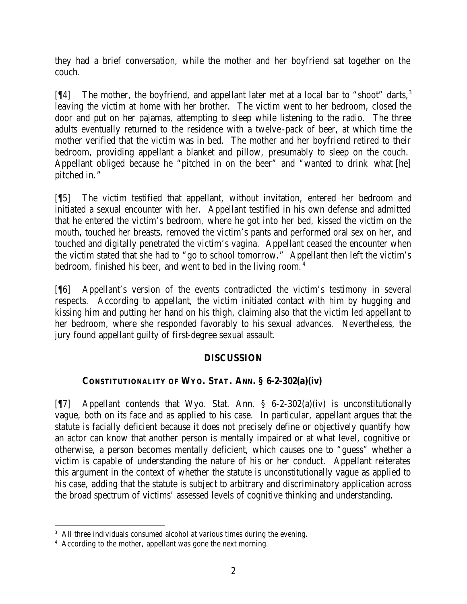they had a brief conversation, while the mother and her boyfriend sat together on the couch.

 $[$ [[4] The mother, the boyfriend, and appellant later met at a local bar to "shoot" darts,<sup>3</sup> leaving the victim at home with her brother. The victim went to her bedroom, closed the door and put on her pajamas, attempting to sleep while listening to the radio. The three adults eventually returned to the residence with a twelve-pack of beer, at which time the mother verified that the victim was in bed. The mother and her boyfriend retired to their bedroom, providing appellant a blanket and pillow, presumably to sleep on the couch. Appellant obliged because he "pitched in on the beer" and "wanted to drink what [he] pitched in."

[¶5] The victim testified that appellant, without invitation, entered her bedroom and initiated a sexual encounter with her. Appellant testified in his own defense and admitted that he entered the victim's bedroom, where he got into her bed, kissed the victim on the mouth, touched her breasts, removed the victim's pants and performed oral sex on her, and touched and digitally penetrated the victim's vagina. Appellant ceased the encounter when the victim stated that she had to "go to school tomorrow." Appellant then left the victim's bedroom, finished his beer, and went to bed in the living room.<sup>4</sup>

[¶6] Appellant's version of the events contradicted the victim's testimony in several respects. According to appellant, the victim initiated contact with him by hugging and kissing him and putting her hand on his thigh, claiming also that the victim led appellant to her bedroom, where she responded favorably to his sexual advances. Nevertheless, the jury found appellant guilty of first-degree sexual assault.

## **DISCUSSION**

# **CONSTITUTIONALITY OF WYO. STAT. ANN. § 6-2-302(a)(iv)**

[¶7] Appellant contends that Wyo. Stat. Ann. § 6-2-302(a)(iv) is unconstitutionally vague, both on its face and as applied to his case. In particular, appellant argues that the statute is facially deficient because it does not precisely define or objectively quantify how an actor can know that another person is mentally impaired or at what level, cognitive or otherwise, a person becomes mentally deficient, which causes one to "guess" whether a victim is capable of understanding the nature of his or her conduct. Appellant reiterates this argument in the context of whether the statute is unconstitutionally vague as applied to his case, adding that the statute is subject to arbitrary and discriminatory application across the broad spectrum of victims' assessed levels of cognitive thinking and understanding.

<sup>&</sup>lt;sup>3</sup> All three individuals consumed alcohol at various times during the evening.

<sup>4</sup> According to the mother, appellant was gone the next morning.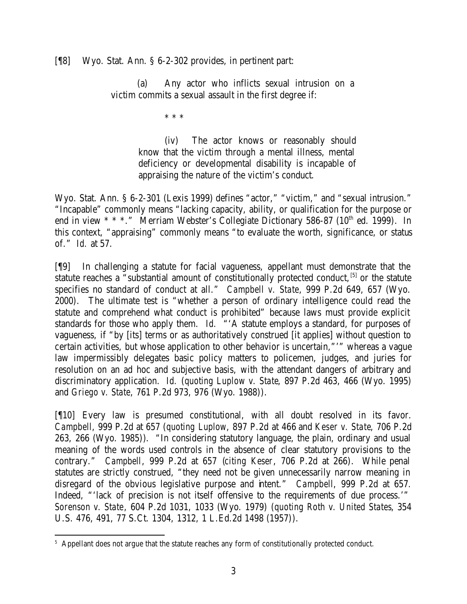### [¶8] Wyo. Stat. Ann. § 6-2-302 provides, in pertinent part:

(a) Any actor who inflicts sexual intrusion on a victim commits a sexual assault in the first degree if:

\* \* \*

(iv) The actor knows or reasonably should know that the victim through a mental illness, mental deficiency or developmental disability is incapable of appraising the nature of the victim's conduct.

Wyo. Stat. Ann. § 6-2-301 (Lexis 1999) defines "actor," "victim," and "sexual intrusion." "Incapable" commonly means "lacking capacity, ability, or qualification for the purpose or end in view \* \* \*." Merriam Webster's Collegiate Dictionary 586-87 (10<sup>th</sup> ed. 1999). In this context, "appraising" commonly means "to evaluate the worth, significance, or status of." *Id.* at 57.

[¶9] In challenging a statute for facial vagueness, appellant must demonstrate that the statute reaches a "substantial amount of constitutionally protected conduct, <sup>[5]</sup> or the statute specifies no standard of conduct at all." *Campbell v. State*, 999 P.2d 649, 657 (Wyo. 2000). The ultimate test is "whether a person of ordinary intelligence could read the statute and comprehend what conduct is prohibited" because laws must provide explicit standards for those who apply them. *Id.* "'A statute employs a standard, for purposes of vagueness, if "by [its] terms or as authoritatively construed [it applies] without question to certain activities, but whose application to other behavior is uncertain,"'" whereas a vague law impermissibly delegates basic policy matters to policemen, judges, and juries for resolution on an ad hoc and subjective basis, with the attendant dangers of arbitrary and discriminatory application. *Id.* (*quoting Luplow v. State*, 897 P.2d 463, 466 (Wyo. 1995) and *Griego v. State*, 761 P.2d 973, 976 (Wyo. 1988)).

[¶10] Every law is presumed constitutional, with all doubt resolved in its favor. *Campbell*, 999 P.2d at 657 (*quoting Luplow*, 897 P.2d at 466 and *Keser v. State*, 706 P.2d 263, 266 (Wyo. 1985)). "In considering statutory language, the plain, ordinary and usual meaning of the words used controls in the absence of clear statutory provisions to the contrary." *Campbell*, 999 P.2d at 657 (*citing Keser*, 706 P.2d at 266). While penal statutes are strictly construed, "they need not be given unnecessarily narrow meaning in disregard of the obvious legislative purpose and intent." *Campbell*, 999 P.2d at 657*.* Indeed, "'lack of precision is not itself offensive to the requirements of due process.'" *Sorenson v. State*, 604 P.2d 1031, 1033 (Wyo. 1979) (*quoting Roth v. United States*, 354 U.S. 476, 491, 77 S.Ct. 1304, 1312, 1 L.Ed.2d 1498 (1957)).

 <sup>5</sup> Appellant does not argue that the statute reaches any form of constitutionally protected conduct.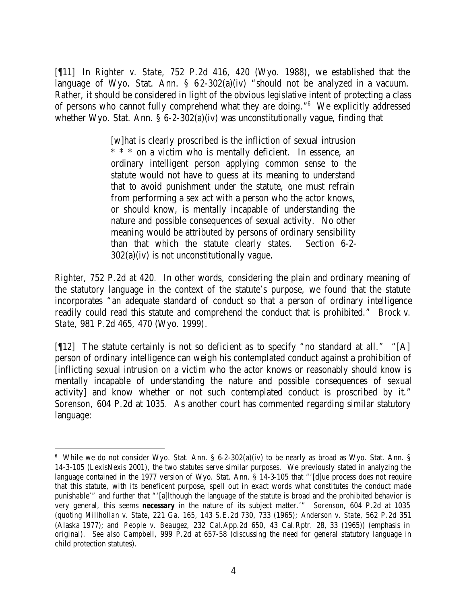[¶11] In *Righter v. State*, 752 P.2d 416, 420 (Wyo. 1988), we established that the language of Wyo. Stat. Ann.  $\S$  62-302(a)(iv) "should not be analyzed in a vacuum. Rather, it should be considered in light of the obvious legislative intent of protecting a class of persons who cannot fully comprehend what they are doing."<sup>6</sup> We explicitly addressed whether Wyo. Stat. Ann. § 6-2-302(a)(iv) was unconstitutionally vague, finding that

> [w]hat is clearly proscribed is the infliction of sexual intrusion \* \* \* on a victim who is mentally deficient. In essence, an ordinary intelligent person applying common sense to the statute would not have to guess at its meaning to understand that to avoid punishment under the statute, one must refrain from performing a sex act with a person who the actor knows, or should know, is mentally incapable of understanding the nature and possible consequences of sexual activity. No other meaning would be attributed by persons of ordinary sensibility than that which the statute clearly states. Section 6-2-  $302(a)(iv)$  is not unconstitutionally vague.

*Righter*, 752 P.2d at 420. In other words, considering the plain and ordinary meaning of the statutory language in the context of the statute's purpose, we found that the statute incorporates "an adequate standard of conduct so that a person of ordinary intelligence readily could read this statute and comprehend the conduct that is prohibited." *Brock v. State*, 981 P.2d 465, 470 (Wyo. 1999).

[ $[12]$  The statute certainly is not so deficient as to specify "no standard at all." "[A] person of ordinary intelligence can weigh his contemplated conduct against a prohibition of [inflicting sexual intrusion on a victim who the actor knows or reasonably should know is mentally incapable of understanding the nature and possible consequences of sexual activity] and know whether or not such contemplated conduct is proscribed by it." *Sorenson*, 604 P.2d at 1035. As another court has commented regarding similar statutory language:

<sup>6</sup> While we do not consider Wyo. Stat. Ann. § 6-2-302(a)(iv) to be nearly as broad as Wyo. Stat. Ann. § 14-3-105 (LexisNexis 2001), the two statutes serve similar purposes. We previously stated in analyzing the language contained in the 1977 version of Wyo. Stat. Ann. § 14-3-105 that "'[d]ue process does not require that this statute, with its beneficent purpose, spell out in exact words what constitutes the conduct made punishable'" and further that "'[a]lthough the language of the statute is broad and the prohibited behavior is very general, this seems *necessary* in the nature of its subject matter.'" *Sorenson*, 604 P.2d at 1035 (*quoting Millhollan v. State*, 221 Ga. 165, 143 S.E.2d 730, 733 (1965); *Anderson v. State*, 562 P.2d 351 (Alaska 1977); and *People v. Beaugez*, 232 Cal.App.2d 650, 43 Cal.Rptr. 28, 33 (1965)) (emphasis in original). *See also Campbell*, 999 P.2d at 657-58 (discussing the need for general statutory language in child protection statutes).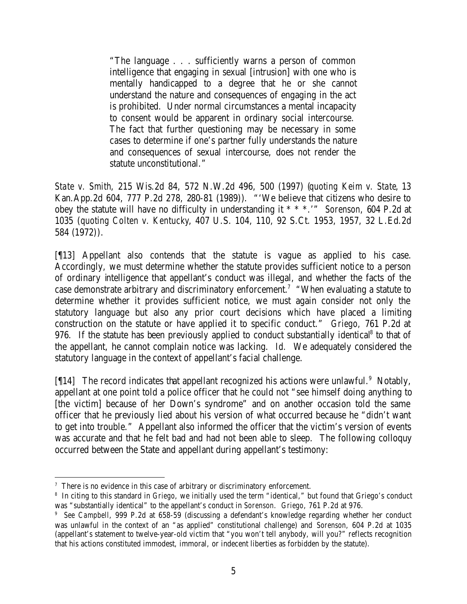"The language . . . sufficiently warns a person of common intelligence that engaging in sexual [intrusion] with one who is mentally handicapped to a degree that he or she cannot understand the nature and consequences of engaging in the act is prohibited. Under normal circumstances a mental incapacity to consent would be apparent in ordinary social intercourse. The fact that further questioning may be necessary in some cases to determine if one's partner fully understands the nature and consequences of sexual intercourse, does not render the statute unconstitutional."

*State v. Smith*, 215 Wis.2d 84, 572 N.W.2d 496, 500 (1997) (*quoting Keim v. State*, 13 Kan.App.2d 604, 777 P.2d 278, 280-81 (1989)). "'We believe that citizens who desire to obey the statute will have no difficulty in understanding it \* \* \*.'" *Sorenson*, 604 P.2d at 1035 (*quoting Colten v. Kentucky*, 407 U.S. 104, 110, 92 S.Ct. 1953, 1957, 32 L.Ed.2d 584 (1972)).

[¶13] Appellant also contends that the statute is vague as applied to his case. Accordingly, we must determine whether the statute provides sufficient notice to a person of ordinary intelligence that appellant's conduct was illegal, and whether the facts of the case demonstrate arbitrary and discriminatory enforcement.<sup>7</sup> "When evaluating a statute to determine whether it provides sufficient notice, we must again consider not only the statutory language but also any prior court decisions which have placed a limiting construction on the statute or have applied it to specific conduct." *Griego,* 761 P.2d at 976. If the statute has been previously applied to conduct substantially identical<sup>8</sup> to that of the appellant, he cannot complain notice was lacking. *Id.* We adequately considered the statutory language in the context of appellant's facial challenge.

[14] The record indicates that appellant recognized his actions were unlawful.<sup>9</sup> Notably, appellant at one point told a police officer that he could not "see himself doing anything to [the victim] because of her Down's syndrome" and on another occasion told the same officer that he previously lied about his version of what occurred because he "didn't want to get into trouble." Appellant also informed the officer that the victim's version of events was accurate and that he felt bad and had not been able to sleep. The following colloquy occurred between the State and appellant during appellant's testimony:

  $7$  There is no evidence in this case of arbitrary or discriminatory enforcement.

<sup>8</sup> In citing to this standard in *Griego*, we initially used the term "identical," but found that Griego's conduct was "substantially identical" to the appellant's conduct in *Sorenson*. *Griego*, 761 P.2d at 976.

<sup>9</sup> *See Campbell*, 999 P.2d at 658-59 (discussing a defendant's knowledge regarding whether her conduct was unlawful in the context of an "as applied" constitutional challenge) and *Sorenson*, 604 P.2d at 1035 (appellant's statement to twelve-year-old victim that "you won't tell anybody, will you?" reflects recognition that his actions constituted immodest, immoral, or indecent liberties as forbidden by the statute).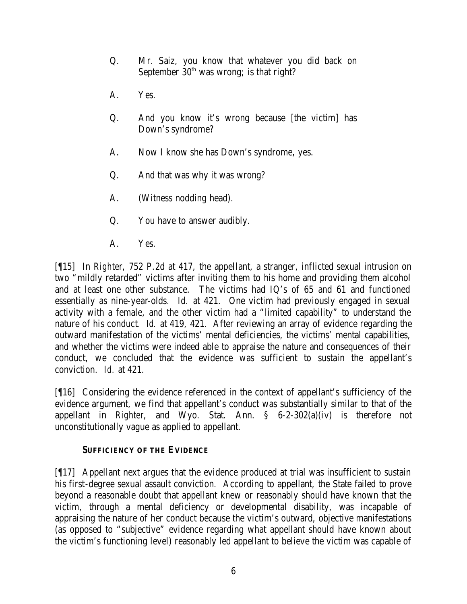- Q. Mr. Saiz, you know that whatever you did back on September  $30<sup>th</sup>$  was wrong; is that right?
- A. Yes.
- Q. And you know it's wrong because [the victim] has Down's syndrome?
- A. Now I know she has Down's syndrome, yes.
- Q. And that was why it was wrong?
- A. (Witness nodding head).
- Q. You have to answer audibly.
- A. Yes.

[¶15] In *Righter*, 752 P.2d at 417, the appellant, a stranger, inflicted sexual intrusion on two "mildly retarded" victims after inviting them to his home and providing them alcohol and at least one other substance. The victims had IQ's of 65 and 61 and functioned essentially as nine-year-olds. *Id.* at 421. One victim had previously engaged in sexual activity with a female, and the other victim had a "limited capability" to understand the nature of his conduct. *Id.* at 419, 421. After reviewing an array of evidence regarding the outward manifestation of the victims' mental deficiencies, the victims' mental capabilities, and whether the victims were indeed able to appraise the nature and consequences of their conduct, we concluded that the evidence was sufficient to sustain the appellant's conviction. *Id.* at 421.

[¶16] Considering the evidence referenced in the context of appellant's sufficiency of the evidence argument, we find that appellant's conduct was substantially similar to that of the appellant in *Righter*, and Wyo. Stat. Ann. § 6-2-302(a)(iv) is therefore not unconstitutionally vague as applied to appellant.

# **SUFFICIENCY OF THE EVIDENCE**

[¶17] Appellant next argues that the evidence produced at trial was insufficient to sustain his first-degree sexual assault conviction. According to appellant, the State failed to prove beyond a reasonable doubt that appellant knew or reasonably should have known that the victim, through a mental deficiency or developmental disability, was incapable of appraising the nature of her conduct because the victim's outward, objective manifestations (as opposed to "subjective" evidence regarding what appellant should have known about the victim's functioning level) reasonably led appellant to believe the victim was capable of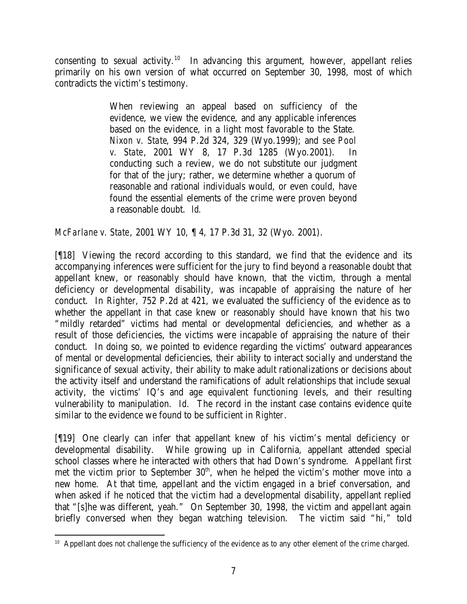consenting to sexual activity.<sup>10</sup> In advancing this argument, however, appellant relies primarily on his own version of what occurred on September 30, 1998, most of which contradicts the victim's testimony.

> When reviewing an appeal based on sufficiency of the evidence, we view the evidence, and any applicable inferences based on the evidence, in a light most favorable to the State. *Nixon v. State*, 994 P.2d 324, 329 (Wyo.1999); and *see Pool v. State*, 2001 WY 8, 17 P.3d 1285 (Wyo.2001). In conducting such a review, we do not substitute our judgment for that of the jury; rather, we determine whether a quorum of reasonable and rational individuals would, or even could, have found the essential elements of the crime were proven beyond a reasonable doubt. *Id.*

*McFarlane v. State*, 2001 WY 10, ¶ 4, 17 P.3d 31, 32 (Wyo. 2001).

[¶18] Viewing the record according to this standard, we find that the evidence and its accompanying inferences were sufficient for the jury to find beyond a reasonable doubt that appellant knew, or reasonably should have known, that the victim, through a mental deficiency or developmental disability, was incapable of appraising the nature of her conduct. In *Righter*, 752 P.2d at 421, we evaluated the sufficiency of the evidence as to whether the appellant in that case knew or reasonably should have known that his two "mildly retarded" victims had mental or developmental deficiencies, and whether as a result of those deficiencies, the victims were incapable of appraising the nature of their conduct. In doing so, we pointed to evidence regarding the victims' outward appearances of mental or developmental deficiencies, their ability to interact socially and understand the significance of sexual activity, their ability to make adult rationalizations or decisions about the activity itself and understand the ramifications of adult relationships that include sexual activity, the victims' IQ's and age equivalent functioning levels, and their resulting vulnerability to manipulation. *Id.* The record in the instant case contains evidence quite similar to the evidence we found to be sufficient in *Righter*.

[¶19] One clearly can infer that appellant knew of his victim's mental deficiency or developmental disability. While growing up in California, appellant attended special school classes where he interacted with others that had Down's syndrome. Appellant first met the victim prior to September  $30<sup>th</sup>$ , when he helped the victim's mother move into a new home. At that time, appellant and the victim engaged in a brief conversation, and when asked if he noticed that the victim had a developmental disability, appellant replied that "[s]he was different, yeah." On September 30, 1998, the victim and appellant again briefly conversed when they began watching television. The victim said "hi," told

 <sup>10</sup> Appellant does not challenge the sufficiency of the evidence as to any other element of the crime charged.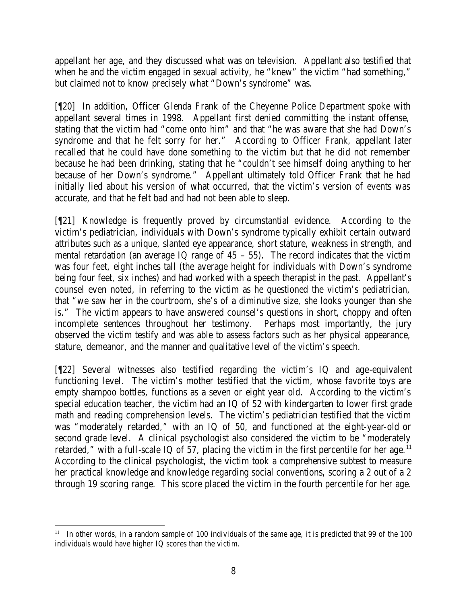appellant her age, and they discussed what was on television. Appellant also testified that when he and the victim engaged in sexual activity, he "knew" the victim "had something," but claimed not to know precisely what "Down's syndrome" was.

[¶20] In addition, Officer Glenda Frank of the Cheyenne Police Department spoke with appellant several times in 1998. Appellant first denied committing the instant offense, stating that the victim had "come onto him" and that "he was aware that she had Down's syndrome and that he felt sorry for her." According to Officer Frank, appellant later recalled that he could have done something to the victim but that he did not remember because he had been drinking, stating that he "couldn't see himself doing anything to her because of her Down's syndrome." Appellant ultimately told Officer Frank that he had initially lied about his version of what occurred, that the victim's version of events was accurate, and that he felt bad and had not been able to sleep.

[¶21] Knowledge is frequently proved by circumstantial evidence. According to the victim's pediatrician, individuals with Down's syndrome typically exhibit certain outward attributes such as a unique, slanted eye appearance, short stature, weakness in strength, and mental retardation (an average IQ range of  $45 - 55$ ). The record indicates that the victim was four feet, eight inches tall (the average height for individuals with Down's syndrome being four feet, six inches) and had worked with a speech therapist in the past. Appellant's counsel even noted, in referring to the victim as he questioned the victim's pediatrician, that "we saw her in the courtroom, she's of a diminutive size, she looks younger than she is." The victim appears to have answered counsel's questions in short, choppy and often incomplete sentences throughout her testimony. Perhaps most importantly, the jury observed the victim testify and was able to assess factors such as her physical appearance, stature, demeanor, and the manner and qualitative level of the victim's speech.

[¶22] Several witnesses also testified regarding the victim's IQ and age-equivalent functioning level. The victim's mother testified that the victim, whose favorite toys are empty shampoo bottles, functions as a seven or eight year old. According to the victim's special education teacher, the victim had an IQ of 52 with kindergarten to lower first grade math and reading comprehension levels. The victim's pediatrician testified that the victim was "moderately retarded," with an IQ of 50, and functioned at the eight-year-old or second grade level. A clinical psychologist also considered the victim to be "moderately retarded," with a full-scale IQ of 57, placing the victim in the first percentile for her age.<sup>11</sup> According to the clinical psychologist, the victim took a comprehensive subtest to measure her practical knowledge and knowledge regarding social conventions, scoring a 2 out of a 2 through 19 scoring range. This score placed the victim in the fourth percentile for her age.

 <sup>11</sup> In other words, in a random sample of 100 individuals of the same age, it is predicted that 99 of the 100 individuals would have higher IQ scores than the victim.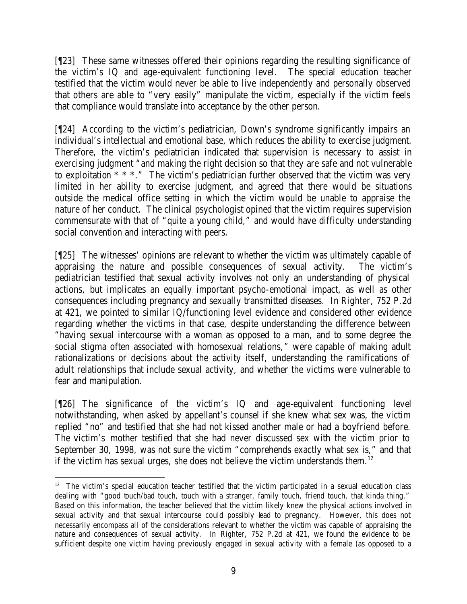[¶23] These same witnesses offered their opinions regarding the resulting significance of the victim's IQ and age-equivalent functioning level. The special education teacher testified that the victim would never be able to live independently and personally observed that others are able to "very easily" manipulate the victim, especially if the victim feels that compliance would translate into acceptance by the other person.

[¶24] According to the victim's pediatrician, Down's syndrome significantly impairs an individual's intellectual and emotional base, which reduces the ability to exercise judgment. Therefore, the victim's pediatrician indicated that supervision is necessary to assist in exercising judgment "and making the right decision so that they are safe and not vulnerable to exploitation \* \* \*." The victim's pediatrician further observed that the victim was very limited in her ability to exercise judgment, and agreed that there would be situations outside the medical office setting in which the victim would be unable to appraise the nature of her conduct. The clinical psychologist opined that the victim requires supervision commensurate with that of "quite a young child," and would have difficulty understanding social convention and interacting with peers.

[¶25] The witnesses' opinions are relevant to whether the victim was ultimately capable of appraising the nature and possible consequences of sexual activity. The victim's pediatrician testified that sexual activity involves not only an understanding of physical actions, but implicates an equally important psycho-emotional impact, as well as other consequences including pregnancy and sexually transmitted diseases. In *Righter*, 752 P.2d at 421, we pointed to similar IQ/functioning level evidence and considered other evidence regarding whether the victims in that case, despite understanding the difference between "having sexual intercourse with a woman as opposed to a man, and to some degree the social stigma often associated with homosexual relations," were capable of making adult rationalizations or decisions about the activity itself, understanding the ramifications of adult relationships that include sexual activity, and whether the victims were vulnerable to fear and manipulation.

[¶26] The significance of the victim's IQ and age-equivalent functioning level notwithstanding, when asked by appellant's counsel if she knew what sex was, the victim replied "no" and testified that she had not kissed another male or had a boyfriend before. The victim's mother testified that she had never discussed sex with the victim prior to September 30, 1998, was not sure the victim "comprehends exactly what sex is," and that if the victim has sexual urges, she does not believe the victim understands them.<sup>12</sup>

<sup>&</sup>lt;sup>12</sup> The victim's special education teacher testified that the victim participated in a sexual education class dealing with "good touch/bad touch, touch with a stranger, family touch, friend touch, that kinda thing." Based on this information, the teacher believed that the victim likely knew the physical actions involved in sexual activity and that sexual intercourse could possibly lead to pregnancy. However, this does not necessarily encompass all of the considerations relevant to whether the victim was capable of appraising the nature and consequences of sexual activity. In *Righter*, 752 P.2d at 421, we found the evidence to be sufficient despite one victim having previously engaged in sexual activity with a female (as opposed to a